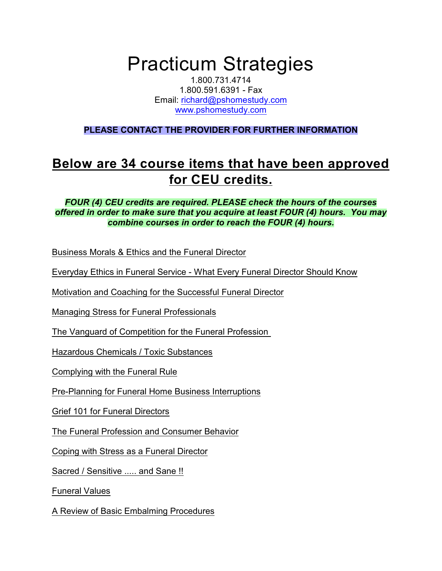## Practicum Strategies

1.800.731.4714 1.800.591.6391 - Fax Email: [richard@pshomestudy.com](mailto:richard@pshomestudy.com) [www.pshomestudy.com](http://www.pshomestudy.com)

**PLEASE CONTACT THE PROVIDER FOR FURTHER INFORMATION**

## **Below are 34 course items that have been approved for CEU credits.**

## *FOUR (4) CEU credits are required. PLEASE check the hours of the courses offered in order to make sure that you acquire at least FOUR (4) hours. You may combine courses in order to reach the FOUR (4) hours.*

Business Morals & Ethics and the Funeral Director

Everyday Ethics in Funeral Service - What Every Funeral Director Should Know

Motivation and Coaching for the Successful Funeral Director

Managing Stress for Funeral Professionals

The Vanguard of Competition for the Funeral Profession

Hazardous Chemicals / Toxic Substances

Complying with the Funeral Rule

Pre-Planning for Funeral Home Business Interruptions

Grief 101 for Funeral Directors

The Funeral Profession and Consumer Behavior

Coping with Stress as a Funeral Director

Sacred / Sensitive ..... and Sane !!

Funeral Values

A Review of Basic Embalming Procedures